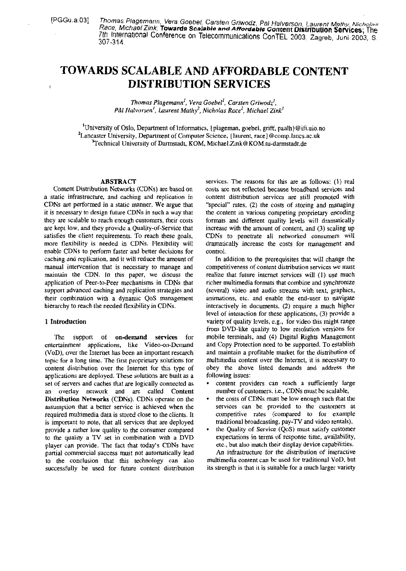!PG~u.a.03] **Tho~nas** Plagernann, Vera Goebel. Carsteti Gr~wodz, Pa1 Halverson, Lawent *Mathv Nicho1a.-*  Race. MichaelZink **Towards Scalable arid Afforrlebls Conrent DlslrlDulOn Services;** The 7th International Conference on Telecommunicalions ConTEL 2003. **Zagreb,** Juni 2003, S, 307-314

# **TOWARDS SCALABLE AND AFFORDABLE CONTENT IDISTRIBUTION SERVICES**

Thomas Plagemann<sup>1</sup>, Vera Goebel<sup>1</sup>, Carsten Griwodz<sup>1</sup>, Pal Halvorsen', Laurent Mathy<sup>2</sup>, Nicholas Race<sup>2</sup>, Michael Zink<sup>3</sup>

<sup>1</sup>University of Oslo, Department of Informatics, {plageman, goebel, griff, paalh}@ifi.uio.no <sup>2</sup>Lancaster University, Department of Computer Science, [laurent, race} @comp.lancs.ac.uk <sup>3</sup> Technical University of Darmstadt, KOM, Michael.Zink@KOM.tu-darmstadt.de

#### **ABSTRACT**

Content Distribution Networks (CDNs) ace based on a static infrastructure, and caching and replication in CDNs are performed in a static manner. We argue that it is necessary to design future CDNs in such a way that they are scalable to reach enough customers; their costs are kept low, and they providc a Quality-of-Service that satisfies the client requirements. To reach these goals. more flexibility is needed in CDNs. Flexibility will enable CDNs to perform faster and better decisions for caching **and** replication, and it will reduce the amount of manual intervention that is necessary to manage and maintain the CDN. In this Paper, we discuss the application of Peer-to-Peer mechanisms in CDNs that support advanced caching and replication strategies and their combination with a dynarnic QoS management hierarchy to reach the needed flexibility in CDNs.

## 1 Introduction

The support of on-demand services for entertainment applications. like Video-on-Dernand (VoD), over the Intemet has been an important research topic for a long time. The first proprietary solutions for content distribution over the Internet for this type of applications are deployed. These solutions are built as a set of servers and caches that are logicaily connected as an overlay network and are called Content Distribution Networks (CDNs). CDNs operate on the assumption that a better service is achieved when the required multimedia data is stored close to the clients. It is important to note, that all services that are deployed provide a rather low quality to the consumer compared to the quality a TV set in combination with a DVD player can provide. The fact that today's CDNs have partial commercial success must not automatically lead to the conclusion that this technology can also successfully be used for future content distribution services. The reasons for this are as follows:  $(1)$  real costs are not reflected because broadband services and content distribution services are still promoted with "special" rates, (2) the costs of storing and managing the content in various competing proprietary encoding formats and different quality levels will dramatically increase with the amount of content, and (3) scaling up CDNs to penetrate all networked consumers will dramatically increase the costs for management and control.

In addition to the prerequisites that will change the competitiveness of content distribution services we must realize that future internet services will (1) use much richer multimedia formats that combine and synchronize (several) video and audio streams with text, graphics, animations, etc. and enable the end-user to navigate interactively in documents. (2) require a much higher level of interaction for these applications. (3) provide a variety of quality levels, e.g., for video this might range from DVD-like quality to low resolution versions for mobile terrninals, and (4) Digital Rights Management and Copy Protection need to be supported. To establish and maintain a profitable market for the distribution of multimedia content over the Intemet, it is necessary to obey the above listed demands and address the following issues:

- content providers can reach a sufficiently large number of customers, i.e., CDNs must be scalable,
- the costs of CDNs must be low enough such that the services can be provided to the customers at competitive rates (compared to for example traditional broadcasting, pay-TV and video rentals), the Quality of Service (QoS) must satisfy customer
- expectations in terms of response time, availability, etc.. but also match their display device capabilities. An infrastructure for the distribution of interactive

multimedia content can be used for traditional VoD, but its strength is that it is suitable for a much larger variety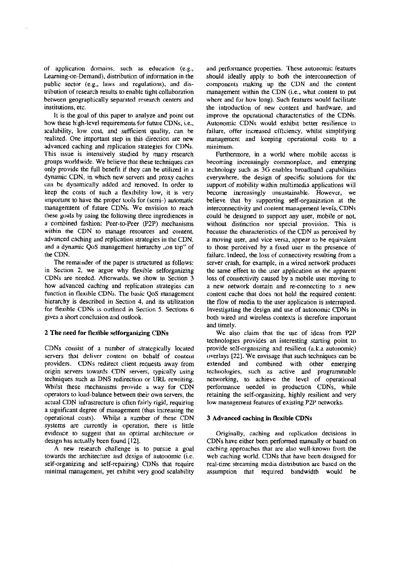of applicarion domains. such as education (e.g., Leaming-on-Demand), distribution of information in the public sector (e.g., laws and regulations). and distribution of research results to enable tight collaboration between geographically separated research centers and institutions, etc.

It is the goal of this paper to analyze and point out how these high-level requirements for future CDNs, i.e., scalahility. low cost, and sufficient quality, can be realized. One important step in this direction are new advanced caching and replication strategies for CDNs. This issue is intensively studied hy many research groups worldwide. We believe that these techniques can only provide the full benefit if they can he utilized in a dynamic CDN. in which new servers and proxy caches can he dynamically added and removed. In order to keep the costs of such a flexibility low, it is very important to have the proper tools for (semi-) automatic managemtent of future CDNs. We envision to reach these goals by using the following three ingrediences in a combined fashion: Peer-to-Peer (P2P) mechanisms within the CDN to manage resources and content. advanced caching and replication strategies in the CDN. and a dynamic QoS management hierarchy "on top" of tbe CDN.

The remainder of the paper is structured as follows: in Section 2, we argue why flexible selforganizing CDNs are ncedcd. Aftenuards, we show in Section 3 how advanced caching and replication strategies can function in flexible CDNs. The basic QoS management hierarchy is described in Section 4, and its utilization for flexible CDNs is outlincd in Section 5. Sections 6 gives a short conclusion and outlook.

# 2 The need for flexible selforganizing CDNs

CDNs consist of a numher of strategically located servers that deliver content on behalf of content providers. CDNs redirect client requests away from origin servers towards CDN servers, typically using techniques such as DNS redirection or **URL** rewriting. Whilst these mechanisms provide a way for CDN Operators to load-balance between their own servers, the actual CDN infrastructure is often fairly rigid, requiring a significant degree of management (thus increasing the operational costs). Whilst a numher of these CDN systems are currently in operation, there is little evidence to suggest that an optimal architecture or design has actually been found [12].

A new research challenge is to pursue a goal towards the architecture and design of autonomic (i.e. self-organizing and self-repairing) CDNs that require minimal management, yet exhihit very good scalability

and perfomance properties. These autonomic features should ideally apply to both the interconnection of components making up the CDN and the content management within the CDN (i.e., what content to put where and for how long). Such features would facilitate the introduction of new content and hardware, and improve the operational characteristics of the CDNs. Autonomic CDNs would exhihit better resilience to failure, offer increased efliciency, whilst simplifying management and keeping operational costs to a minimum.

Furthermore, in a world where mobile access is becoming increasingly commonplace, and emerging technology such as 3G enables hroadband capahilities everywhere, the design of specific solutions for the support of mohility within multimedia applications will become increasingly unsustainable. However, we believe that by supporting self-organization at the interconnectivity and content management levels. CDNs could be designed to support any user, mobile or not. without distinction nor special provision. This is hecause the characteristics of the CDN as perceived hy a moving user, and vice versa, appear to be equivalent to those perceived by a fixed user in the presence of failure. Indeed, the loss of connectivity resulting from a Server crash. for example. in a wired network produces the Same effeet to the User application as the apparent loss of connectivity caused by a mobile user moving to a new network domain and re-connecting to **a** new content cache that does not hold the required content: the flow of media to the user application is interrupted. Investigating the design and use of autonomic CDNs in hoth wird and wireless contexts is therefore important and timely.

We also claim that the use of ideas from **P2P**  technologies provides an interesting starting point to provide self-organizing and resilient (a.k.a autonomic) overlays [221. We envisage that such techniques can be extended and combined with other emerging technologies, such as active and programmable networking, to achieve the level of operational performance needed in production CDNs, while retaining the self-organizing, highly resilient and very low management features of existing P2P networks.

## 3 Advanced caching in flexible **CDNs**

Originally, caching and replication decisions in CDNs have either been performed manually or hased on caching approaches that are also wcll-known from the web caching world. CDNs that have been designed for real-time streaming media distribution arc bascd on the assumption that required handwidth would be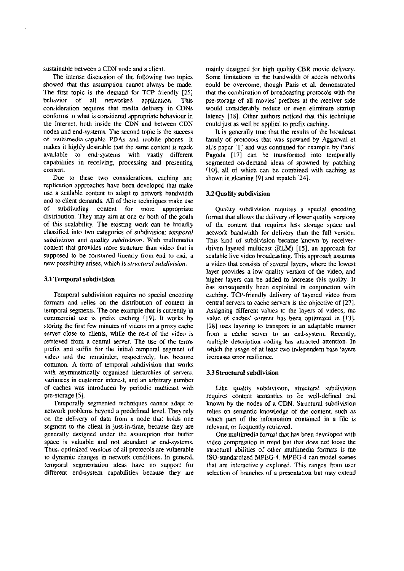sustainable between a CDN node and a client.

The intense discussion of the following two topics showed that this assumption cannot always be made. The first mpic is the demand for TCP friendly **[25]**  behavior of all networked application. This consideration requires that media delivery in CDNs conforms 10 what is considered appropriate bchaviour in the Intemet, both inside the CDN and between CDN nodes and end-systems. The second topic is the success of multimedia-capablc **PDAs** and inubile phones. It makes it highly desirable that the same content is made available to end-systems with vastly different capabililies in receiving, processing and presenting content.

Due to these two considerations, caching and replication approaches have been developed that make use a scalable content to adapt to network bandwidth and to client demands. All of these techniques make use of subdividing content for more appropriate distribution. They may aim at one or both of the goals of this scalability. The existing work can he hroadly classified into two categories of subdivision: *temporal subdivision* and quality *subdivision.* With multimedia content that provides more structure than video that is supposed to be consumed linearly from end to cnd, a new possibility arises, which is *structural subdivision.* 

### 3.1Temporal subdivision

Temporal suhdivision requires no special encoding formats and relies on the distribution of content in temporal segments. The one example that is currently in commercial use is prefix caching [19]. It works by storing the first few minutes of videos on a proxy cache server close to clients, while the rest of the video is retrieved from a central server. The use of the terms prefix and suffix for the initial temporal segment of video and the remainder. respectively. has hecome common. A form of temporal subdivision that works with asymmetrically organized hierarchies of servers, variances in customer interest, and an arbitrary number of caches was introduced by periodic multicast with pre-storage [5].

Temporally segmented techniques cannot adapt to network problems beyond a predefined level. They rely on the delivery of data from a node that hulds one segment to the client in just-in-time, because they are generally designed under thc assurnption that buffer space is valuable and not abundant at end-systems. Thus, optimizcd versions of all protocols are vulnerable to dynamic changes in network conditions. In generaI, temporal scgmentation ideas have no support for different end-system capabilities because they are

mainly designed for high quality CBR movie delivery. Some limitations in the bandwidth of access networks eould be overcome, though Pans et ai. demonstrated that the combination of broadcasting protocols with the pre-storage of all movies' prefixes at the receiver side would considerably reduce or even eliminate startup latency [18]. Other authors noticed that this technique could just as well be applied to prefix caching.

It is generally true that the results of the broadcast family of protocols that was spawned by Aggarwal et al.'s paper [I] and was continued for example by Paris' Pagoda [17] can be transformed into temporally segmented on-demand ideas of spawned by patching [IO], all of which can be combined with caching as shown in gleaning **[91** and mpatch [241.

# 3.2Quality subdivision

Quality subdivision requires a special encoding formal that allows the delivery of lower quality versions of the content that requires less storage space and network bandwidth for delivery than the full version. This kind of subdivision became known by receiverdriven layered multicast **(RLM)** [15], an approach for scalable live video broadcasting. This approach assumes a video that consists of several layers, where the lowest layer provides a low quality version of the video, and higher layers can be added to increase this quality. It has subsequently been exploited in conjunction with caching. TCP-friendly delivery of layered video from central servers to cache servers is the objective of [27]. Assigning different values to the layers of videos, thc value of caches' content has been optimized in (131. [28] uses layering to transport in an adaptable manner from a cache server to an end-system. Recently, multiple description coding **has** attracted attention. In which the usage of at least two independent base layers increases error rcsilience.

#### 3.3 **Stmctural** subdivision

Like quality subdivision, structural subdivision requires content semantics to be well-defined and known by the nodes of a CDN. Structural subdivision relies on semantic knowledge of the content, such as which part of the infomation contained in a file is relevant, or frequently retrieved.

One multimedia format that has been developed with video compression in mind but that does not loose the structural abilities of other multimedia formats is the ISO-standardized MPEG-4. MPEG-4 can model scenes that are interactively explored. This ranges from User selection of branches of a presentation but may cxtend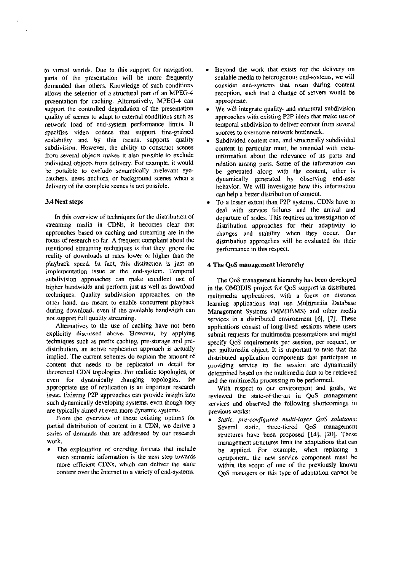to virtual worlds. Due to this support for navigation, parts of the presentation will be more frequently demanded than others. Knowledge of such conditions allows the seleetion of a structural part of an MPEG-4 presentation for caching. Altematively, MPEG-4 can support the controlled degradation of the presentation quality of scenes to adapt to extemal eonditions such as network load of end-system performance limits. It specifies video codecs that support fine-grained scalability and by this means, supports quality subdivision. However, the ability to construct scenes from several objects makes it also possible to exclude individual objects from delivery. For example, it would **he** possihle to exelude scmantically irrelevant eyecatchers, news anchors, or background scenes wben a delivery of the complete scenes is not possible.

# **3.4Next steps**

In this overview of techniques for the distribution of streaming media in CDNs. it becomes clear that approaches based on caching and streaming are in the focus of research so far. A frequent complaint about the mentioned streaming techniques is that they ignore tbe reality of downloads at rates lower or higher than the playback speed. In fact, this distinction is just an implementation issue at the end-system. Temporal subdivision approaches can make excellent use of highcr handwidth and perform just as well **as** download techniques. Quality subdivision approaches, on the other hand, arc meant to enable concurrent playback during download, even if the available bandwidth can not support full quality streaming.

Alternatives to the use of caching have not been explicitly discussed above. However, by applying techniques such as prefix caching, pre-storage and predistribution, an active replication approach is actually implied. The current sehemes do explain the amount of content that needs to be repiicated in detail for theoretical CDN topologies. For realistic topologies, or even for dynamically changing topologies. the appropriate use of replication is an important researeh issue. Existing P2P approaches ean provide insight into such dynamically developing systems, even though they are typically aimed at even more dynamic systems.

From the overview of these existing options for partial distribution of content in a CDN, we derive a series of demands that are addressed by our research work.

The exploitation of encoding formats that include such semantic information is the next step towards more efficient CDNs. which can dclivcr the same content over the lnternet to a variety of end-systems.

- Beyond the work that exists for the delivery on scalable media to heterogenous end-systems, we will consider end-systems that roam dwing content reception, such that a change of servers would be appropriate.
- We will integrate quality- and structural-subdivision approaches with existing P2P ideas that make use of temporal subdivision to deliver content from several sources to overcome network bottleneck.
- Subdivided content can, and structurally subdivided content in particular must, be amended with metainformation about the relevance of its parts and relation among parts. Some of the information can be generated along with the eontent, other is dynamically generated by observing end-user behavior. We will investigate how this information can help a better distribution of content.
- To a lesser extent than **P2P** systems, CDNs have to deal with service failwes and the arrival and departure of nodes. Chis requires an investigation of distribution approaches for their adaptivity to changes and stability when they occur. Our distribution approaches will be evaluated for their performance in this respect.

# 4 The QoS **managcmcnt** hierarchy

The OoS management hierarchy has been developed in the OMODIS project for QoS support in distributed multimedia applicatinns. with a focus on distance leaming applications that use Multimedia Database Management Systems (MMDBMS) and other media services in a distributed environment [6], [7]. These applications consist of long-lived sessions where users submit requests for multimedia presentations and might specify QoS requirements per session, per request. or per multimedia object. It is important to note that the distributed application componenis that participate in providing service to the session are dynamically determined based on the multimedia data to be retrieved and the multimedia processing to be performed.

With respect to our environment and goals, we reviewed the state-of-the-art in QoS management services and observed the following shortcomings in previous works:

Static. pre-configured multi-layer QoS solutions:  $\bullet$ Several static, three-tiered QoS management stnictures have been proposed [141, **[20].** These management structures limit the adaptations that can be applied. For example, when replacing a component. the new service component must **he**  within the scope of one of the previously known QoS managers or this type of adaptation cannot be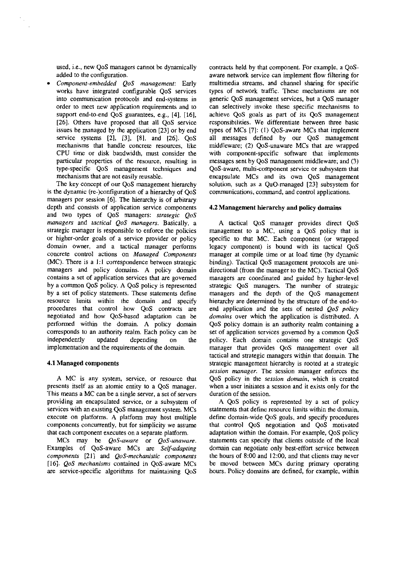used, i.e., new OoS managers cannot be dynamically added to the configuration.

*Component-embedded QoS managemeni:* Early works have integrated configurable QoS services into communication protocols and end-systems in order to meet new application requirements and to Support end-to-end QoS guarantees. e.g., **[4],** [16], *[26].* Others have proposed that all QoS service issues be managed by the application *[23]* or by end service systems *[21,* **[31, [81,** and *[261.* QoS mechanisms that handle concrete resources, like CPU time or disk bandwidth, must consider the particular properties of the resource, resulting in type-specific QoS management techniques and mechanisms that are not easily reusahle.

The key concept of our QoS management hierarchy is the dynamic (re-)contiguration of a hierarchy of QoS managers per session [6]. The hierarchy is of arbitrary depth and consists of application service components and two types of QoS managers: *strategic QoS managers* and *iactical QoS managers*. Basically, a strategic manager is responsible to enforce the policies or higher-order goals of a service provider or policy domain owner, and a tactical manager performs concrete control actions on *Managed Comporients*  (MC). There is a 1:l correspondence between strategic managers and policy domains. A policy domain contains a set of application services that are govemed by a common QoS policy. A QoS policy is represented by a set of policy statements. These statements define resource Iimits within the domain and specify procedures that control how QoS contracts are negotiated and how QoS-based adaptation can be performed within the domain. A policy domain corresponds to an authority realm. Each policy can be independently updated depending on the implementation and the requirements of the domain.

# **4.1 Managed components**

A MC is any system, service, or resource that presents itseif as an atomie entity to a QoS manager. This means a MC can be a single server, a set of servers providing an encapsulated service, or a subsystem of services with an existing QoS management system. MCs execute on platforms. A platform may host multiple components concurrently, but for simplicity we assume that each component executes on a separate platform.

MCs may be *QoS-aware* or *QoS-unaware.*  Examples of QoS-aware MCs **are** *Self-adapring comporients [211* and *QoS-mechanistic components [161. QoS mechanisms* contained in QoS-aware MCs are service-specific algorithms for maintaining QoS

contracts held by that component. For example, a QoSaware network service can implement flow filtering for multimedia streams. and chamel shanng for specific types of network traffic. These mechanisms are not generic QoS management services. but a QoS manager can selectively invoke these specific mechanisms to achieve QoS goals as part of its QoS management responsibilities. We differentiate between three basic types of MCs *[7]:* (1) QoS-aware MCs that implement all messages defined by our QoS management middleware; *(2)* QoS-unaware MCs that are wrapped with component-specific software that implements messages senl by QoS management middleware; and (3) QoS-aware, multi-component service or subsystem that encapsulate MCs and its own QoS management solution, such as a QuO-managed *[23]* subsystem for communications, command, and control applications.

# **4.2Management hierarchy and policy domains**

A tactical QoS manager provides direct QoS management to a MC, using a QoS policy that is specific to that MC. Each component (or wrapped legacy component) is bound with its tactical QoS manager at compile time or at load time (by dynamic binding). Tactical QoS management protocols are unidirectional (from the manager to the MC). Tactical QoS managers **are** coordinated and guided by higher-level strategic QoS managers. The number of strategic managers and the depth of the QoS management hierarchy are determined by the structure of the end-toend application and the sets of nested *QoS policy domairis* over which the application is distrihuted. A QoS policy domain is an authority realm containing a set of application services governed by a common QoS policy. Each domain contains one strategic QoS manager that provides QoS management over all tactical and strategic managers within that domain. The strategic management hierarchy is rooted at a strategic *session manager.* The session manager enforces the QoS policy in the *session domain,* which is created when a user initiates a session and it exists only for the duration of the session.

A QoS policy is represented by a set of policy statements that detine resource limits within the domain, define domain-wide QoS goals. and specify procedures that control QoS negotiation and QoS motivated adaptation within the domain. For example, QoS policy statements can specify that clients outside of the local domain can negotiate only best-effort service between the hours of *8:00* and *12:00,* and that clients may never be moved between MCs during primary operating hours. Policy domains are defined, for example. within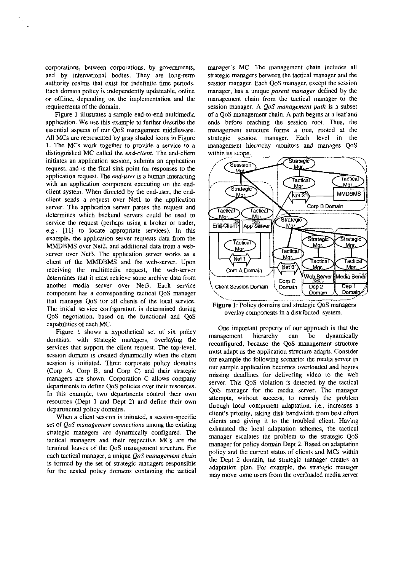corporations, between corporations, hy govemments, and by international bodies. They are long-term authority realms that exist for indefinite time periods. Each domain policy is independently updateable, online or offline, depending on the implementation and the requirements of the domain.

Figure 1 illustrates a sample end-to-end multimedia application. We use this example to further describe the essential aspects of our QoS management middleware. All MCs are represented by gray shaded icons in Figure 1. The MCs work together to provide a service to a distinguished MC called the *end-client.* The end-client initiates an application session, suhmits an application request, and is the final sink point for responses to the application request. The *end-urer* is a human interacting with an application component executing on the endclient system. When directed by the end-user, the endclient sends a request over Netl to the application server. The application server parses the request and determines which backend servers could be used to service the request (perhaps using a broker or trader, e.g., [11] to locate appropriate services). In this example, the application server requests data from the MMDBMS over Net2, and additional data from a webserver over Net3. The application server works **as** a client of the MMDBMS and the web-server. Upon receiving the multimedia request, the web-server determines that it **must** reuieve sorne archive data from another media server over Net3. Each service component has a corresponding tactical QoS manager that manages QoS for all clients of the local service. The initial service configuration is determined during QoS negotiation, based on the functional and QoS capabilities of each MC.

Figure 1 shows a hypothetical set of six policy domains, with strategic managers, overlaying the services that support the client request. The top-level, session domain is created dynamically when the client session is initiated. Three corporate policy domains (Corp A, Corp B, and Corp C) and their strategic managers are shown. Corporation C allows company departments to define QoS policies over their resources. In this example, two departments control their own resources (Dept 1 and Dept **2)** and define their own departmental policy domains.

When a clieni session is initiated, a session-specific set of *QoS* management connections among the existing strategic managers are dynamically configured. The tactical managers and their respective MCs are the terminal leaves of the QoS management structure. For each tactical manager, a unique *QoS management chain* is formed by the set of strategic managers responsible for the nested policy domains containing the tactical manager's MC. The management chain includes all strategic managers beiween the tactical manager and the session manager. Each QoS manager, except the session manager, has a unique *parent rnanager* defined by the management chain from the tactical manager to the session manager. A *QoS management path* is a subset of a QoS management chain. A path begins at a leaf and ends before reaching the session root. Thus, the management structure forms a tree, rooted at the strategic session manager. Each level in the management hierarchy monitors and manages QoS within its scope.



Figure 1: Policy domains and strategic QoS managers overlay components in a distributed system.

One important property of our approach is that the management hierarchy can be dynamically reconfigured, because the QoS management structure must adapt as the application structure adapis. Consider for example the following scenario: the media server in our sample application becornes overloaded and begins missing deadlines for delivering video to the web server. This QoS violation is detected by the tactical QoS manager for the media server. The manager attempts, without success, to rernedy the problem through local component adaptation, i.e.. increases a client's priority, taking disk handwidth from best effon clients and giving it to the troubled client. Having exhausted the local adaptation schemes, the tactical manager escalates the problem to the strategic QoS manager for policy domain Dept 2. Based on adaptation policy and the current Status of clients and MCs within the Dept 2 domain, the strategic manager creates an adaptation plan. For example, the strategic manager may move some users from the overloaded media server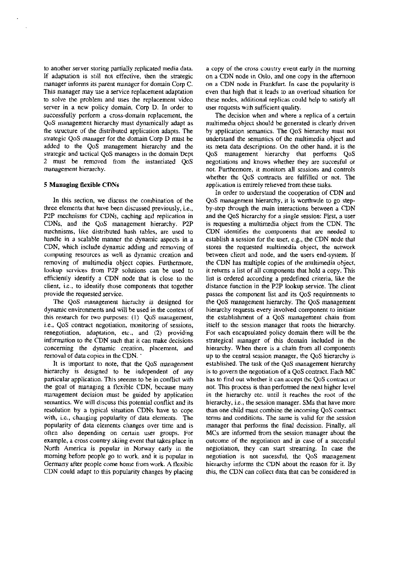**to** another server storing partially replicated media data. If adaptation is still not effective, then the strategic manager informs its parent manager for domain Corp C. This manager may use a service replacement adaptation to solve the prohlem and uses the replacement video server in a new policy domain, Corp D. In order to successfully perform a cross-domain replacement, the QoS nianagement hierarchy must dynamically adapt as the structure of the distributed application adapts. The strategic QoS manager for the domain Corp D must be added to the QoS management hierarchy and the strategic and tactical QoS managers in the domain Dept **2** must be removed from the instantiated QoS management hierarchy.

## 5 **Managing** flexible CDNs

In this section, we discuss the comhination of the three elements that have been discussed previously, i.e., **P2P** mechnisms for CDNs, caching and replication in CDNs. and the QoS management hierarchy. **P2P**  mechnisms, like distributed hash tables, are used to handle in a scalable manner the dynamic aspects in a CDN, which include dynamic adding and removing of computing resources as well as dynamic creation and removing of multimedia object copies. Furthermore, lookup services from **P2P** solutions can be used to efficiently identify a CDN node that is close to the client, i.e., to identify those components that together provide the requested service.

The QoS management hierachy is designed for dynamic environments and will **be** used in the context of this research for two purposes: (I) QoS nianagement, i.e., QoS contract negotiation. monitoring of sessions, renegotiation. adaptation, etc.. and **(2)** providing information to the CDN such that it can make decisions conceming the dynamic creation, placement, and removal of data copies in the CDN. '

It is important to note, that the QoS management hierarchy is designed to be independent of any panicular application. This seeems to be in conflict with the goal of managing a flexible CDN, because many management decision must be guided hy application semantics. We will discuss this potential conflict and its resolution hy a typical situation CDNs have to cope with, i.c., changing popularity of data elements. The popularity of data elements changes over time and is often also depending on certain user groups. For example, a cross country skiing event that takes place in North America is popular in Norway early in the moming hefore people go to work, and it is popular in Germany after people come home from work. Aflcxiblc CDN could adapt to this popularity changes by placing

a copy of the cross country event early in the morning on a CDN node in Oslo, and one copy in the afternoon on a CDN node in Frankfurt. In case the popularity is even that high that it leads to an overload situation for these nodes, additional replicas could help to satisfy all user requests with sufficient quality.

The decision when and where a replica of a certain mulrimedia ohject should he generated is clearly driven hy application sernantics. The QoS hierarchy must not understand the sernantics of the multimedia object and its meta data descriptions. On the other hand. it is the QoS management hierarchy that perioms QoS negotiations and knows whether they are succesful or not. Furthermore, it monitors all sessions and controls whether the QoS contracts are fulfilled or not. The application is entirely relieved from these tasks.

In order to understand the cooperation of CDN and QoS management hierarchy, it is worthwile to go stepby-step through the main interactions between a CDN and the QoS hicrarchy for a single session: First, a user is requesting a multimedia object from the CDN. The CDN identifies the components that are needed to establish a session for the user, e.g., the CDN node that stores the requested multimedia object, the network between client and node, and the users end-system. If the CDN has multiple copies of the multimedia object, it relurns a list of all components that hold a copy. This list is ordered according a predefined criieria, like the distance function in the **P2P** lookup service. The client passes the component list and its QoS requirements to the QoS management hierarchy. The QoS management hierarchy requests every involved component to initiate the estahlishment of a QoS management chain from itself to the session manager that roots the hierarchy. For each encapsulated policy domain there will be the strategical manager of this domain included in the hierarchy. When there is a chain from all components up to the central session manager, the QoS hierarchy is established. The task of the OoS management hierarchy is to govern the negotiation of a QoS contract. Each MC has to find out whether it can accept the QoS contract or not. This process is than periormed the next higher level in the hierarchy etc. until it reaches the root of thc hierarchy, i.e., the session manager. SMs that have more than one child must combine the incoming QoS contract terms and conditions. The same is valid for the session manager that performs the final decission. Finally, all MCs are informed from the session manager ahout the outcome of the negotiation and in case of a succesful negiotiation, they can start streaming. In case the negotiation is not sucessful, the QoS management hierarchy informs the CDN about the reason for it. By this, the CDN can collect data that can be considered in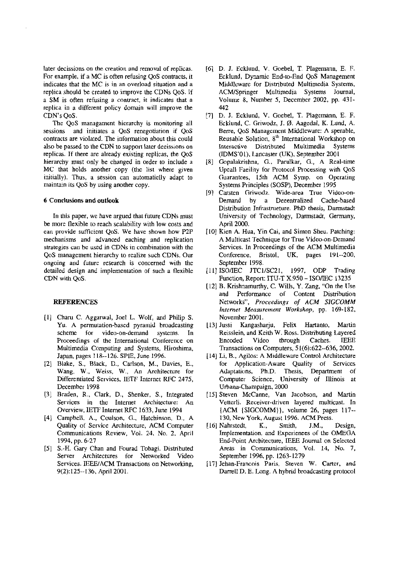later decissions on the creation and removal of replicas. For example, if a MC is often refusing QoS contracts. it indicates that the MC is in an overload situation and a replica should be created to improve the CDNs QoS. If a SM is often refusing a contract, it indicates that a replica in a different policy domain will improve the CDN's QoS.

The QoS managament hierarchy is monitoring all sessions and initiates a QoS renegotiation if QoS contracts are violated. The information ahout this could also be passed to the CDN to Support later deeissions on replicas. If there are already existing replicas, the QoS hierarchy must only be changed in order to include a MC that holds another copy (the list where given initially). Thus, a session can automatielly adapt to maintain its QoS hy using another copy.

### 6 Conclusions and outlook

In this paper, we have argued that future CDNs must be more flexible to reach scalability with low costs and eari provide sufficient QoS. We have shown how PZP mechanisms and advanced eaching and replication strategies can be used in CDNs in combination with the QoS management hierarchy to realize such CDNs. Our ongoing and future research is concerned with the detailed design and implementation of such a flexible CDN with QoS.

# **REFERENCES**

- [I] Cham C. Aggarwal, Joel L. Wolf, and Philip S. Yu. A permutation-based pyramid broadeasting scheme for video-on-demand systems. In Proceedings of the International Conference on Multimedia Computing and Systems, Hiroshima, Japan, pages 118--126. SPIE, June 1996.
- [2] Blake, S., Black, D., Carlson, M., Davies, E., Wang. W.. Weiss, W., An Arehitecture for Differentiated Services, IETF Internet **RFC** 2475, December 1998
- [3] Braden, R., Clark, D., Shenker, S., Integrated Services in the Intemet Architecture: An Overview, IETF Intemet **RFC** 1633, lune 1994
- [4] Campbell. A., Coulson, G.. Hutchinson, D., A Quality of Service Architecture, ACM Computer Communications Review, Vol. 24. No. 2. April 1994, pp. 6-27
- 151 S.-H. *Gary* Chan and Fourad Tobagi. Disbibuted Server Architectures for Networked Video Services. IEEE/ACM Transactions on Networking, 9(2):125--136. April 2001.
- (61 D. J. Ecklund. V. Goebel, T. Plagemann, E. F. Ecklund, Dynamic End-to-End QoS Management Middleware for Distributed Multimedia Systems, ACMISpringer Multimedia Systems Journal, Voluriie 8, Number **5.** December 2002. pp. 431- 442
- [7] D. J. Ecklund, V. Goebel, T. Plagemann, E. F. Ecklund, C. Griwodz, J. Ø. Aagedal, K. Lund, A. Berre, QoS Management Middleware: A sperable, Reusable Solution, 8<sup>th</sup> International Workshop on Interactive Distributed Multimedia Systems (IDMS'OI), Lancaster (UK). September 2001
- 181 Gopalakrishna, G., Parulkar, G., A Real-time Upeall Faeility for Protocol Processing with QoS Guarantees, 15th ACM Symp. on Operating Systems Principles (SOSP), December 1995
- [91 Carsten Griwodz. Wide-area True Vidco-on-Demand by a Deeentralized Cache-based Distribution Infrastnieture. PbD thesis, Damstadt University of Technology, Darmstadt, Germany, April 2000.
- [10] Kien A. Hua, Yin Cai, and Simon Sheu. Patching: A Multicast Technique for True Video-on-Demand Services. In Proceedings of the ACM Multimedia Conference, Bristol, UK, pages 191--200. September 1998.
- [11] ISO/IEC JTC1/SC21, 1997, ODP Trading Function, Report: ITU-T X.950 - ISO/IEC 13235
- (121 B. Krishnamurthy. C. Wills. Y. Zang. "On the IJse and Performance of Content Distribution Networks", Proceedings of ACM SIGCOMM Internet Measurement Workshop, pp. 169-182, November 2001.
- 1131 lussi Kangasharju, Felix Hartanto, Martin Reisslein, and Keith W. Ross. Distributing Layered<br>Encoded Video through Caches. IEEE Encoded Video through Caches. IEEE Transactions on Computers, 51(6):622--636,2002.
- [I41 Li, B., Agilos: A Middleware Control Architecture for Application-Aware Quality of Services Adaptations, Ph.D. Thesis, Depattment of Computer Science, University of Illinois at Urbana-Champaign, 2000
- [15] Steven McCanne, Van Jacobson, and Martin Vettcrli. Receiver-driven layered multicast. In {ACM {SIGCOMM}), volume 26, pages 117-- 130, New York, August 1996. ACM Press.
- [I61 Nahrstedt, K., Smith, J.M.. Design, Implementation, and Experienees of the OMEGA End-Point Architecture, IEEE Journal on Selected Areas in Communications, Vol. 14, No. 7, September 1996, pp. 1263-1279
- [I71 Jehan-Francois Paris, Steven W. **Cartcr,** and DarrellD. E. Long. A hybrid hroadcasting protocol